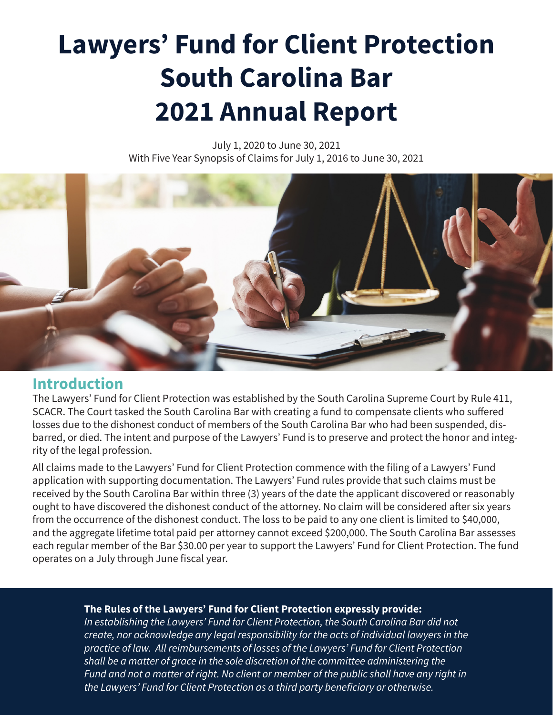# **Lawyers' Fund for Client Protection South Carolina Bar 2021 Annual Report**

July 1, 2020 to June 30, 2021 With Five Year Synopsis of Claims for July 1, 2016 to June 30, 2021



#### **Introduction**

The Lawyers' Fund for Client Protection was established by the South Carolina Supreme Court by Rule 411, SCACR. The Court tasked the South Carolina Bar with creating a fund to compensate clients who suffered losses due to the dishonest conduct of members of the South Carolina Bar who had been suspended, disbarred, or died. The intent and purpose of the Lawyers' Fund is to preserve and protect the honor and integrity of the legal profession.

All claims made to the Lawyers' Fund for Client Protection commence with the filing of a Lawyers' Fund application with supporting documentation. The Lawyers' Fund rules provide that such claims must be received by the South Carolina Bar within three (3) years of the date the applicant discovered or reasonably ought to have discovered the dishonest conduct of the attorney. No claim will be considered after six years from the occurrence of the dishonest conduct. The loss to be paid to any one client is limited to \$40,000, and the aggregate lifetime total paid per attorney cannot exceed \$200,000. The South Carolina Bar assesses each regular member of the Bar \$30.00 per year to support the Lawyers' Fund for Client Protection. The fund operates on a July through June fiscal year.

#### **The Rules of the Lawyers' Fund for Client Protection expressly provide:**

*In establishing the Lawyers' Fund for Client Protection, the South Carolina Bar did not create, nor acknowledge any legal responsibility for the acts of individual lawyers in the practice of law. All reimbursements of losses of the Lawyers' Fund for Client Protection shall be a matter of grace in the sole discretion of the committee administering the Fund and not a matter of right. No client or member of the public shall have any right in*  the Lawyers' Fund for Client Protection as a third party beneficiary or otherwise.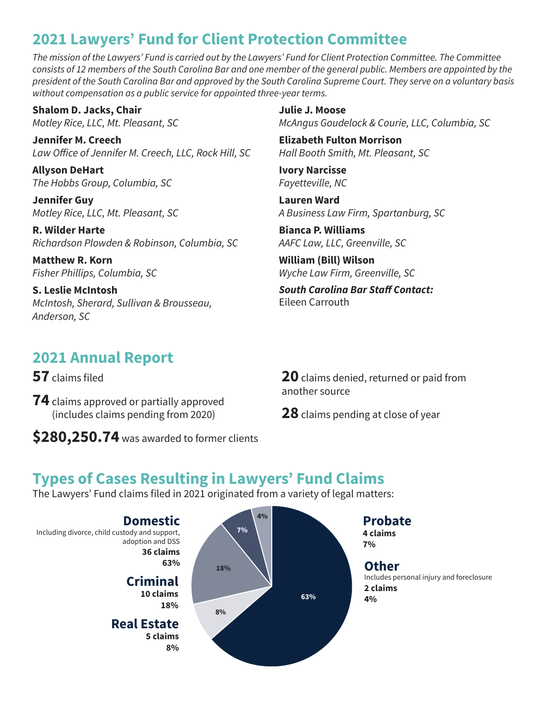### **2021 Lawyers' Fund for Client Protection Committee**

*The mission of the Lawyers' Fund is carried out by the Lawyers' Fund for Client Protection Committee. The Committee consists of 12 members of the South Carolina Bar and one member of the general public. Members are appointed by the president of the South Carolina Bar and approved by the South Carolina Supreme Court. They serve on a voluntary basis without compensation as a public service for appointed three-year terms.*

**Shalom D. Jacks, Chair** *Motley Rice, LLC, Mt. Pleasant, SC*

**Jennifer M. Creech** Law Office of Jennifer M. Creech, LLC, Rock Hill, SC

**Allyson DeHart** The Hobbs Group, Columbia, SC

**Jennifer Guy** *Motley Rice, LLC, Mt. Pleasant, SC*

**R. Wilder Harte** *Richardson Plowden & Robinson, Columbia, SC*

**Matthew R. Korn** *Fisher Phillips, Columbia, SC*

**S. Leslie McIntosh** *McIntosh, Sherard, Sullivan & Brousseau, Anderson, SC* 

#### **2021 Annual Report**

**57** claims filed

**74** claims approved or partially approved (includes claims pending from 2020)

**\$280,250.74** was awarded to former clients

**Julie J. Moose** McAngus Goudelock & Courie, LLC, Columbia, SC

**Elizabeth Fulton Morrison** Hall Booth Smith, Mt. Pleasant, SC

**Ivory Narcisse** *Fayetteville, NC*

**Lauren Ward** *A Business Law Firm, Spartanburg, SC*

**Bianca P. Williams** AAFC Law, LLC, Greenville, SC

**William (Bill) Wilson** Wyche Law Firm, Greenville, SC

**South Carolina Bar Staff Contact:**  Eileen Carrouth

**20** claims denied, returned or paid from another source

**28** claims pending at close of year

#### **Types of Cases Resulting in Lawyers' Fund Claims**

The Lawyers' Fund claims filed in 2021 originated from a variety of legal matters:

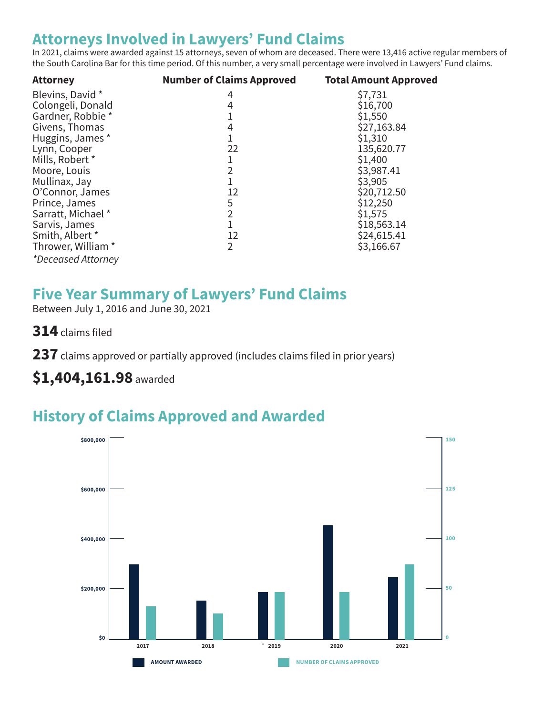#### **Attorneys Involved in Lawyers' Fund Claims**

In 2021, claims were awarded against 15 attorneys, seven of whom are deceased. There were 13,416 active regular members of the South Carolina Bar for this time period. Of this number, a very small percentage were involved in Lawyers' Fund claims.

| <b>Attorney</b>    | <b>Number of Claims Approved</b> | <b>Total Amount Approved</b> |
|--------------------|----------------------------------|------------------------------|
| Blevins, David *   | 4                                | \$7,731                      |
| Colongeli, Donald  | 4                                | \$16,700                     |
| Gardner, Robbie *  |                                  | \$1,550                      |
| Givens, Thomas     | 4                                | \$27,163.84                  |
| Huggins, James*    |                                  | \$1,310                      |
| Lynn, Cooper       | 22                               | 135,620.77                   |
| Mills, Robert *    |                                  | \$1,400                      |
| Moore, Louis       | $\overline{2}$                   | \$3,987.41                   |
| Mullinax, Jay      |                                  | \$3,905                      |
| O'Connor, James    | 12                               | \$20,712.50                  |
| Prince, James      | 5                                | \$12,250                     |
| Sarratt, Michael*  | $\overline{2}$                   | \$1,575                      |
| Sarvis, James      |                                  | \$18,563.14                  |
| Smith, Albert *    | 12                               | \$24,615.41                  |
| Thrower, William * | $\overline{2}$                   | \$3,166.67                   |
| *Deceased Attorney |                                  |                              |

#### **Five Year Summary of Lawyers' Fund Claims**

Between July 1, 2016 and June 30, 2021

**314** claims filed

**237** claims approved or partially approved (includes claims filed in prior years)

#### **\$1,404,161.98** awarded

### **History of Claims Approved and Awarded**